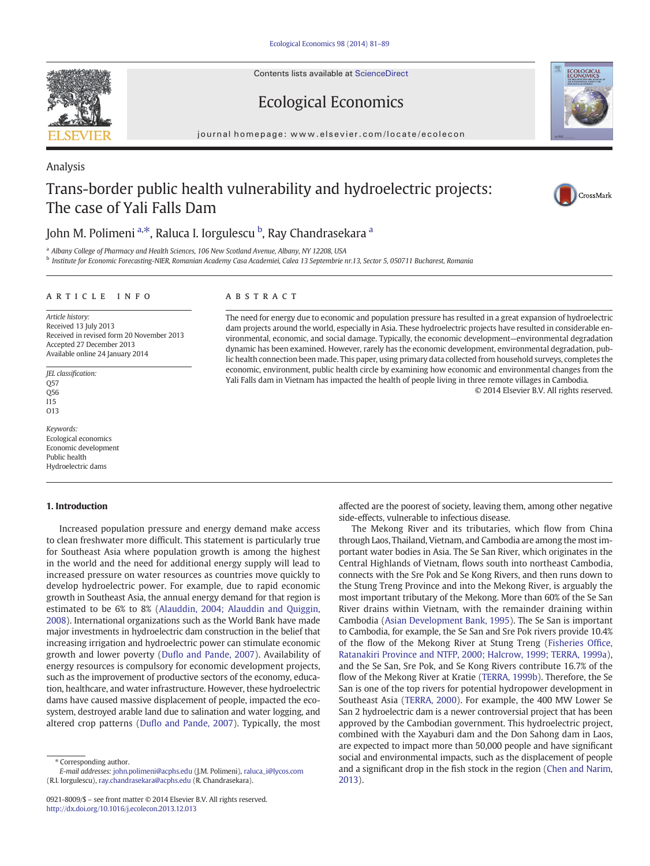Contents lists available at ScienceDirect

### Ecological Economics

journal homepage: www.elsevier.com/locate/ecolecon

## Trans-border public health vulnerability and hydroelectric projects: The case of Yali Falls Dam

John M. Polimeni <sup>a,\*</sup>, Raluca I. Iorgulescu <sup>b</sup>, Ray Chandrasekara <sup>a</sup>

<sup>a</sup> Albany College of Pharmacy and Health Sciences, 106 New Scotland Avenue, Albany, NY 12208, USA

<sup>b</sup> Institute for Economic Forecasting-NIER, Romanian Academy Casa Academiei, Calea 13 Septembrie nr.13, Sector 5, 050711 Bucharest, Romania

#### article info abstract

Article history: Received 13 July 2013 Received in revised form 20 November 2013 Accepted 27 December 2013 Available online 24 January 2014

JEL classification: Q57 Q56 I15 O13

Keywords: Ecological economics Economic development Public health Hydroelectric dams

### 1. Introduction

Increased population pressure and energy demand make access to clean freshwater more difficult. This statement is particularly true for Southeast Asia where population growth is among the highest in the world and the need for additional energy supply will lead to increased pressure on water resources as countries move quickly to develop hydroelectric power. For example, due to rapid economic growth in Southeast Asia, the annual energy demand for that region is estimated to be 6% to 8% ([Alauddin, 2004; Alauddin and Quiggin,](#page--1-0) [2008](#page--1-0)). International organizations such as the World Bank have made major investments in hydroelectric dam construction in the belief that increasing irrigation and hydroelectric power can stimulate economic growth and lower poverty (Duflo and Pande, 2007). Availability of energy resources is compulsory for economic development projects, such as the improvement of productive sectors of the economy, education, healthcare, and water infrastructure. However, these hydroelectric dams have caused massive displacement of people, impacted the ecosystem, destroyed arable land due to salination and water logging, and altered crop patterns (Duflo and Pande, 2007). Typically, the most

⁎ Corresponding author.

The need for energy due to economic and population pressure has resulted in a great expansion of hydroelectric dam projects around the world, especially in Asia. These hydroelectric projects have resulted in considerable environmental, economic, and social damage. Typically, the economic development—environmental degradation dynamic has been examined. However, rarely has the economic development, environmental degradation, public health connection been made. This paper, using primary data collected from household surveys, completes the economic, environment, public health circle by examining how economic and environmental changes from the Yali Falls dam in Vietnam has impacted the health of people living in three remote villages in Cambodia.

© 2014 Elsevier B.V. All rights reserved.

affected are the poorest of society, leaving them, among other negative side-effects, vulnerable to infectious disease.

The Mekong River and its tributaries, which flow from China through Laos, Thailand, Vietnam, and Cambodia are among the most important water bodies in Asia. The Se San River, which originates in the Central Highlands of Vietnam, flows south into northeast Cambodia, connects with the Sre Pok and Se Kong Rivers, and then runs down to the Stung Treng Province and into the Mekong River, is arguably the most important tributary of the Mekong. More than 60% of the Se San River drains within Vietnam, with the remainder draining within Cambodia (Asian Development Bank, 1995). The Se San is important to Cambodia, for example, the Se San and Sre Pok rivers provide 10.4% of the flow of the Mekong River at Stung Treng ([Fisheries Of](#page--1-0)fice, [Ratanakiri Province and NTFP, 2000; Halcrow, 1999; TERRA, 1999a](#page--1-0)), and the Se San, Sre Pok, and Se Kong Rivers contribute 16.7% of the flow of the Mekong River at Kratie (TERRA, 1999b). Therefore, the Se San is one of the top rivers for potential hydropower development in Southeast Asia (TERRA, 2000). For example, the 400 MW Lower Se San 2 hydroelectric dam is a newer controversial project that has been approved by the Cambodian government. This hydroelectric project, combined with the Xayaburi dam and the Don Sahong dam in Laos, are expected to impact more than 50,000 people and have significant social and environmental impacts, such as the displacement of people and a significant drop in the fish stock in the region (Chen and Narim, 2013).



Analysis





E-mail addresses: [john.polimeni@acphs.edu](mailto:john.polimeni@acphs.edu) (J.M. Polimeni), [raluca\\_i@lycos.com](mailto:raluca_i@lycos.com) (R.I. Iorgulescu), [ray.chandrasekara@acphs.edu](mailto:ray.chandrasekara@acphs.edu) (R. Chandrasekara).

<sup>0921-8009/\$</sup> – see front matter © 2014 Elsevier B.V. All rights reserved. <http://dx.doi.org/10.1016/j.ecolecon.2013.12.013>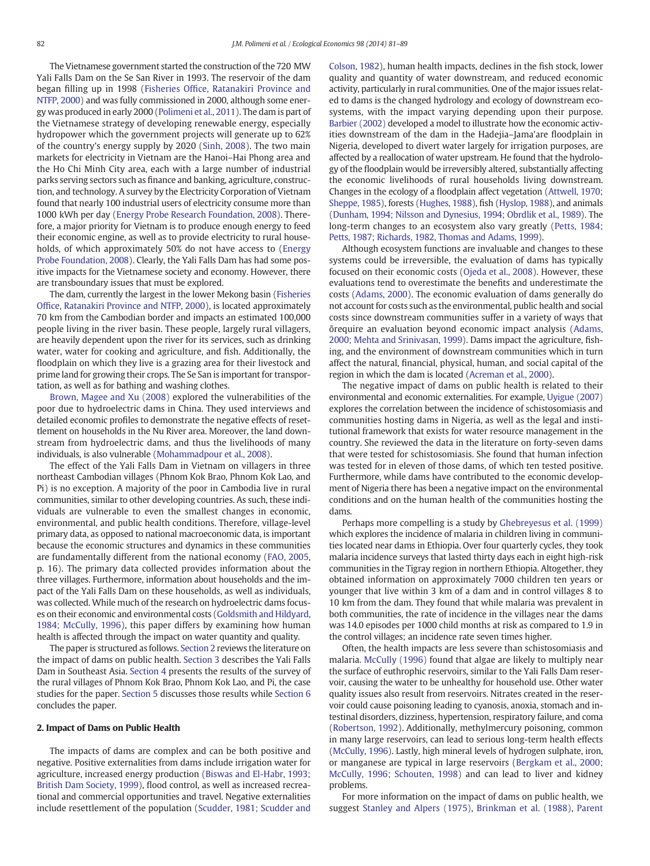The Vietnamese government started the construction of the 720 MW Yali Falls Dam on the Se San River in 1993. The reservoir of the dam began filling up in 1998 (Fisheries Office, Ratanakiri Province and NTFP, 2000) and was fully commissioned in 2000, although some energy was produced in early 2000 (Polimeni et al., 2011). The dam is part of the Vietnamese strategy of developing renewable energy, especially hydropower which the government projects will generate up to 62% of the country's energy supply by 2020 (Sinh, 2008). The two main markets for electricity in Vietnam are the Hanoi–Hai Phong area and the Ho Chi Minh City area, each with a large number of industrial parks serving sectors such as finance and banking, agriculture, construction, and technology. A survey by the Electricity Corporation of Vietnam found that nearly 100 industrial users of electricity consume more than 1000 kWh per day (Energy Probe Research Foundation, 2008). Therefore, a major priority for Vietnam is to produce enough energy to feed their economic engine, as well as to provide electricity to rural households, of which approximately 50% do not have access to (Energy Probe Foundation, 2008). Clearly, the Yali Falls Dam has had some positive impacts for the Vietnamese society and economy. However, there are transboundary issues that must be explored.

The dam, currently the largest in the lower Mekong basin (Fisheries Office, Ratanakiri Province and NTFP, 2000), is located approximately 70 km from the Cambodian border and impacts an estimated 100,000 people living in the river basin. These people, largely rural villagers, are heavily dependent upon the river for its services, such as drinking water, water for cooking and agriculture, and fish. Additionally, the floodplain on which they live is a grazing area for their livestock and prime land for growing their crops. The Se San is important for transportation, as well as for bathing and washing clothes.

Brown, Magee and Xu (2008) explored the vulnerabilities of the poor due to hydroelectric dams in China. They used interviews and detailed economic profiles to demonstrate the negative effects of resettlement on households in the Nu River area. Moreover, the land downstream from hydroelectric dams, and thus the livelihoods of many individuals, is also vulnerable (Mohammadpour et al., 2008).

The effect of the Yali Falls Dam in Vietnam on villagers in three northeast Cambodian villages (Phnom Kok Brao, Phnom Kok Lao, and Pi) is no exception. A majority of the poor in Cambodia live in rural communities, similar to other developing countries. As such, these individuals are vulnerable to even the smallest changes in economic, environmental, and public health conditions. Therefore, village-level primary data, as opposed to national macroeconomic data, is important because the economic structures and dynamics in these communities are fundamentally different from the national economy (FAO, 2005, p. 16). The primary data collected provides information about the three villages. Furthermore, information about households and the impact of the Yali Falls Dam on these households, as well as individuals, was collected. While much of the research on hydroelectric dams focuses on their economic and environmental costs ([Goldsmith and Hildyard,](#page--1-0) [1984; McCully, 1996\)](#page--1-0), this paper differs by examining how human health is affected through the impact on water quantity and quality.

The paper is structured as follows. Section 2 reviews the literature on the impact of dams on public health. Section 3 describes the Yali Falls Dam in Southeast Asia. Section 4 presents the results of the survey of the rural villages of Phnom Kok Brao, Phnom Kok Lao, and Pi, the case studies for the paper. Section 5 discusses those results while Section 6 concludes the paper.

#### 2. Impact of Dams on Public Health

The impacts of dams are complex and can be both positive and negative. Positive externalities from dams include irrigation water for agriculture, increased energy production [\(Biswas and El-Habr, 1993;](#page--1-0) [British Dam Society, 1999\)](#page--1-0), flood control, as well as increased recreational and commercial opportunities and travel. Negative externalities include resettlement of the population ([Scudder, 1981; Scudder and](#page--1-0) [Colson, 1982\)](#page--1-0), human health impacts, declines in the fish stock, lower quality and quantity of water downstream, and reduced economic activity, particularly in rural communities. One of the major issues related to dams is the changed hydrology and ecology of downstream ecosystems, with the impact varying depending upon their purpose. Barbier (2002) developed a model to illustrate how the economic activities downstream of the dam in the Hadejia–Jama'are floodplain in Nigeria, developed to divert water largely for irrigation purposes, are affected by a reallocation of water upstream. He found that the hydrology of the floodplain would be irreversibly altered, substantially affecting the economic livelihoods of rural households living downstream. Changes in the ecology of a floodplain affect vegetation ([Attwell, 1970;](#page--1-0) [Sheppe, 1985\)](#page--1-0), forests (Hughes, 1988), fish (Hyslop, 1988), and animals [\(Dunham, 1994; Nilsson and Dynesius, 1994; Obrdlik et al., 1989](#page--1-0)). The long-term changes to an ecosystem also vary greatly [\(Petts, 1984;](#page--1-0) [Petts, 1987; Richards, 1982, Thomas and Adams, 1999](#page--1-0)).

Although ecosystem functions are invaluable and changes to these systems could be irreversible, the evaluation of dams has typically focused on their economic costs (Ojeda et al., 2008). However, these evaluations tend to overestimate the benefits and underestimate the costs (Adams, 2000). The economic evaluation of dams generally do not account for costs such as the environmental, public health and social costs since downstream communities suffer in a variety of ways that õrequire an evaluation beyond economic impact analysis ([Adams,](#page--1-0) [2000; Mehta and Srinivasan, 1999\)](#page--1-0). Dams impact the agriculture, fishing, and the environment of downstream communities which in turn affect the natural, financial, physical, human, and social capital of the region in which the dam is located (Acreman et al., 2000).

The negative impact of dams on public health is related to their environmental and economic externalities. For example, Uyigue (2007) explores the correlation between the incidence of schistosomiasis and communities hosting dams in Nigeria, as well as the legal and institutional framework that exists for water resource management in the country. She reviewed the data in the literature on forty-seven dams that were tested for schistosomiasis. She found that human infection was tested for in eleven of those dams, of which ten tested positive. Furthermore, while dams have contributed to the economic development of Nigeria there has been a negative impact on the environmental conditions and on the human health of the communities hosting the dams.

Perhaps more compelling is a study by Ghebreyesus et al. (1999) which explores the incidence of malaria in children living in communities located near dams in Ethiopia. Over four quarterly cycles, they took malaria incidence surveys that lasted thirty days each in eight high-risk communities in the Tigray region in northern Ethiopia. Altogether, they obtained information on approximately 7000 children ten years or younger that live within 3 km of a dam and in control villages 8 to 10 km from the dam. They found that while malaria was prevalent in both communities, the rate of incidence in the villages near the dams was 14.0 episodes per 1000 child months at risk as compared to 1.9 in the control villages; an incidence rate seven times higher.

Often, the health impacts are less severe than schistosomiasis and malaria. McCully (1996) found that algae are likely to multiply near the surface of euthrophic reservoirs, similar to the Yali Falls Dam reservoir, causing the water to be unhealthy for household use. Other water quality issues also result from reservoirs. Nitrates created in the reservoir could cause poisoning leading to cyanosis, anoxia, stomach and intestinal disorders, dizziness, hypertension, respiratory failure, and coma (Robertson, 1992). Additionally, methylmercury poisoning, common in many large reservoirs, can lead to serious long-term health effects (McCully, 1996). Lastly, high mineral levels of hydrogen sulphate, iron, or manganese are typical in large reservoirs [\(Bergkam et al., 2000;](#page--1-0) [McCully, 1996; Schouten, 1998\)](#page--1-0) and can lead to liver and kidney problems.

For more information on the impact of dams on public health, we suggest Stanley and Alpers (1975), Brinkman et al. (1988), Parent